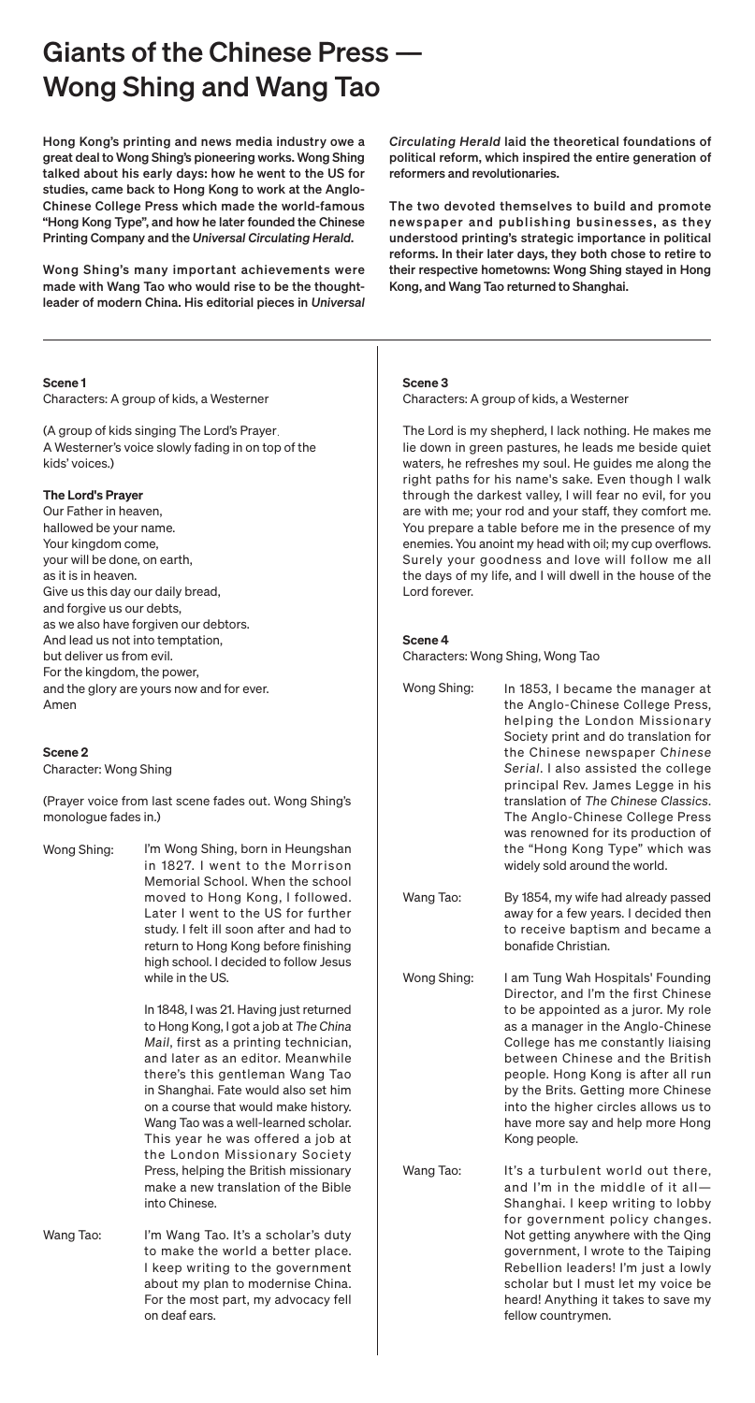# Giants of the Chinese Press –– Wong Shing and Wang Tao

#### Scene 1 Characters: A group of kids, a Westerner

(A group of kids singing The Lord's Prayer. A Westerner's voice slowly fading in on top of the kids' voices.)

# The Lord's Prayer

Our Father in heaven, hallowed be your name. Your kingdom come, your will be done, on earth, as it is in heaven. Give us this day our daily bread, and forgive us our debts, as we also have forgiven our debtors. And lead us not into temptation, but deliver us from evil. For the kingdom, the power, and the glory are yours now and for ever. Amen

# Scene 2

Character: Wong Shing

(Prayer voice from last scene fades out. Wong Shing's monologue fades in.)

# Scene 3

Characters: A group of kids, a Westerner

The Lord is my shepherd, I lack nothing. He makes me lie down in green pastures, he leads me beside quiet waters, he refreshes my soul. He guides me along the right paths for his name's sake. Even though I walk through the darkest valley, I will fear no evil, for you are with me; your rod and your staff, they comfort me. You prepare a table before me in the presence of my enemies. You anoint my head with oil; my cup overflows. Surely your goodness and love will follow me all the days of my life, and I will dwell in the house of the Lord forever.

Wong Shing: I'm Wong Shing, born in Heungshan in 1827. I went to the Morrison Memorial School. When the school moved to Hong Kong, I followed. Later I went to the US for further study. I felt ill soon after and had to return to Hong Kong before finishing high school. I decided to follow Jesus while in the US.

# Scene 4

Characters: Wong Shing, Wong Tao

Wang Tao:

Wang Tao: I'm Wang Tao. It's a scholar's duty to make the world a better place. I keep writing to the government about my plan to modernise China. For the most part, my advocacy fell on deaf ears.

In 1848, I was 21. Having just returned to Hong Kong, I got a job at *The China Mail*, first as a printing technician, and later as an editor. Meanwhile there's this gentleman Wang Tao in Shanghai. Fate would also set him on a course that would make history. Wang Tao was a well-learned scholar. This year he was offered a job at the London Missionary Society Press, helping the British missionary make a new translation of the Bible into Chinese.

Hong Kong's printing and news media industry owe a great deal to Wong Shing's pioneering works. Wong Shing talked about his early days: how he went to the US for studies, came back to Hong Kong to work at the Anglo-Chinese College Press which made the world-famous "Hong Kong Type", and how he later founded the Chinese Printing Company and the *Universal Circulating Herald*.

> Wong Shing: Wang Tao: Wong Shing: In 1853, I became the manager at the Anglo-Chinese College Press, helping the London Missionary Society print and do translation for the Chinese newspaper C*hinese Serial*. I also assisted the college principal Rev. James Legge in his translation of *The Chinese Classics*. The Anglo-Chinese College Press was renowned for its production of the "Hong Kong Type" which was widely sold around the world. By 1854, my wife had already passed away for a few years. I decided then to receive baptism and became a bonafide Christian. I am Tung Wah Hospitals' Founding Director, and I'm the first Chinese

Wong Shing's many important achievements were made with Wang Tao who would rise to be the thoughtleader of modern China. His editorial pieces in *Universal* 

*Circulating Herald* laid the theoretical foundations of political reform, which inspired the entire generation of reformers and revolutionaries.

The two devoted themselves to build and promote newspaper and publishing businesses, as they understood printing's strategic importance in political reforms. In their later days, they both chose to retire to their respective hometowns: Wong Shing stayed in Hong Kong, and Wang Tao returned to Shanghai.

> to be appointed as a juror. My role as a manager in the Anglo-Chinese College has me constantly liaising between Chinese and the British people. Hong Kong is after all run by the Brits. Getting more Chinese into the higher circles allows us to have more say and help more Hong Kong people.

> > It's a turbulent world out there, and I'm in the middle of it all— Shanghai. I keep writing to lobby for government policy changes. Not getting anywhere with the Qing government, I wrote to the Taiping Rebellion leaders! I'm just a lowly scholar but I must let my voice be heard! Anything it takes to save my fellow countrymen.